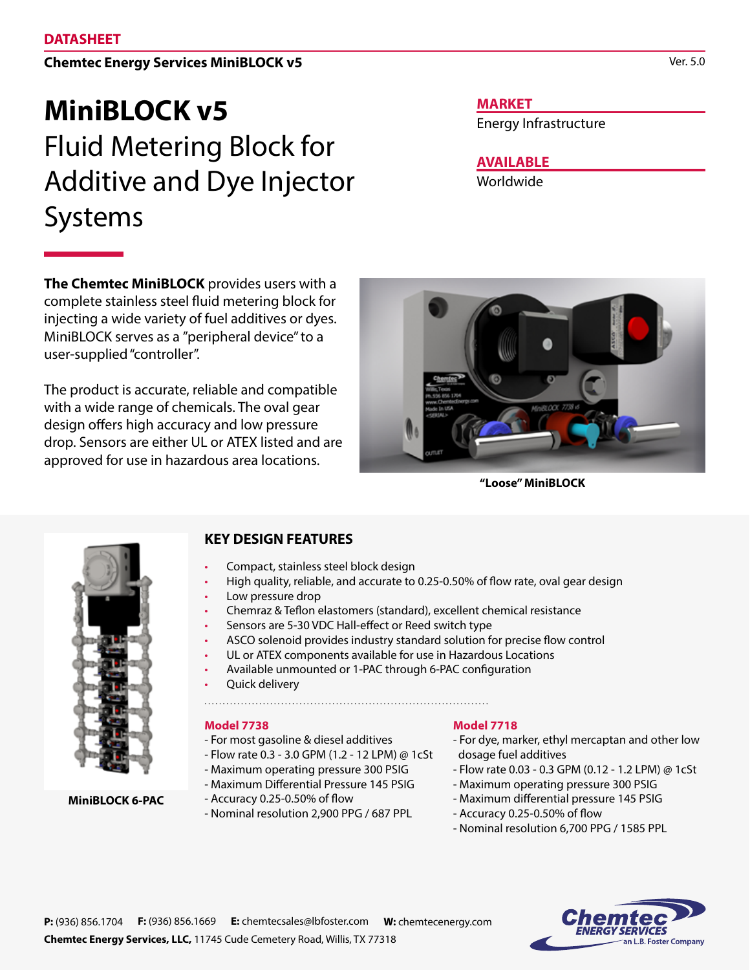### **Chemtec Energy Services MiniBLOCK v5**

# **MiniBLOCK v5**  Fluid Metering Block for Additive and Dye Injector Systems

**The Chemtec MiniBLOCK** provides users with a complete stainless steel fluid metering block for injecting a wide variety of fuel additives or dyes. MiniBLOCK serves as a "peripheral device" to a user-supplied "controller".

The product is accurate, reliable and compatible with a wide range of chemicals. The oval gear design offers high accuracy and low pressure drop. Sensors are either UL or ATEX listed and are approved for use in hazardous area locations.

**MARKET**

Energy Infrastructure

**AVAILABLE**

Worldwide



**"Loose" MiniBLOCK**



**MiniBLOCK 6-PAC**

**KEY DESIGN FEATURES**

- Compact, stainless steel block design
- High quality, reliable, and accurate to 0.25-0.50% of flow rate, oval gear design
- Low pressure drop
- Chemraz & Teflon elastomers (standard), excellent chemical resistance
- Sensors are 5-30 VDC Hall-effect or Reed switch type
- ASCO solenoid provides industry standard solution for precise flow control
- UL or ATEX components available for use in Hazardous Locations
- Available unmounted or 1-PAC through 6-PAC configuration
- Quick delivery
- 

#### **Model 7738**

- For most gasoline & diesel additives
- Flow rate 0.3 3.0 GPM (1.2 12 LPM) @ 1cSt
- Maximum operating pressure 300 PSIG
- Maximum Differential Pressure 145 PSIG
- Accuracy 0.25-0.50% of flow
- Nominal resolution 2,900 PPG / 687 PPL

#### **Model 7718**

- For dye, marker, ethyl mercaptan and other low dosage fuel additives
- Flow rate 0.03 0.3 GPM (0.12 1.2 LPM) @ 1cSt
- Maximum operating pressure 300 PSIG
- Maximum differential pressure 145 PSIG
- Accuracy 0.25-0.50% of flow
- Nominal resolution 6,700 PPG / 1585 PPL